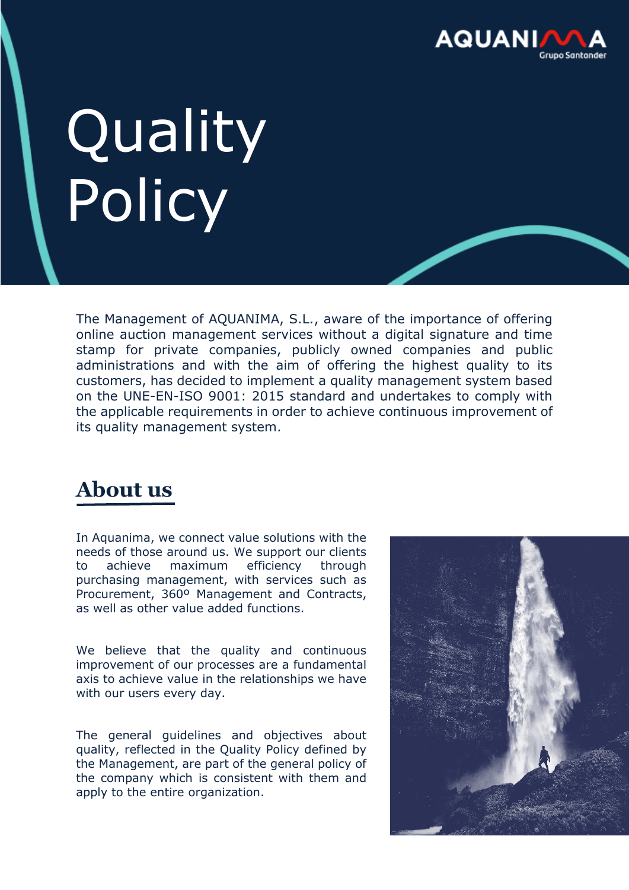

## **Quality** Policy

The Management of AQUANIMA, S.L., aware of the importance of offering online auction management services without a digital signature and time stamp for private companies, publicly owned companies and public administrations and with the aim of offering the highest quality to its customers, has decided to implement a quality management system based on the UNE-EN-ISO 9001: 2015 standard and undertakes to comply with the applicable requirements in order to achieve continuous improvement of its quality management system.

## **About us**

In Aquanima, we connect value solutions with the needs of those around us. We support our clients to achieve maximum efficiency through purchasing management, with services such as Procurement, 360º Management and Contracts, as well as other value added functions.

We believe that the quality and continuous improvement of our processes are a fundamental axis to achieve value in the relationships we have with our users every day.

The general guidelines and objectives about quality, reflected in the Quality Policy defined by the Management, are part of the general policy of the company which is consistent with them and apply to the entire organization.